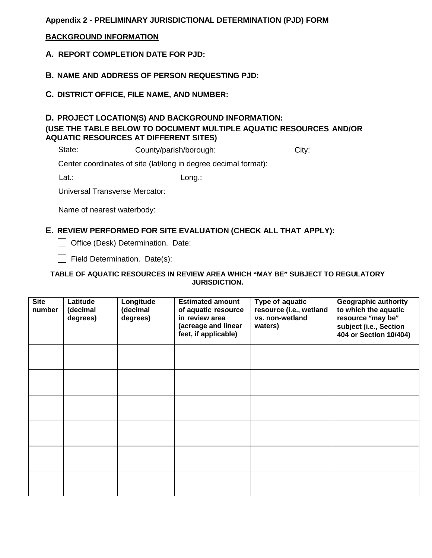# **Appendix 2 - PRELIMINARY JURISDICTIONAL DETERMINATION (PJD) FORM**

### **BACKGROUND INFORMATION**

**A. REPORT COMPLETION DATE FOR PJD:** 

**B. NAME AND ADDRESS OF PERSON REQUESTING PJD:**

**C. DISTRICT OFFICE, FILE NAME, AND NUMBER:** 

# **D. PROJECT LOCATION(S) AND BACKGROUND INFORMATION: (USE THE TABLE BELOW TO DOCUMENT MULTIPLE AQUATIC RESOURCES AND/OR AQUATIC RESOURCES AT DIFFERENT SITES)**

State: County/parish/borough: City:

Center coordinates of site (lat/long in degree decimal format):

Lat.: Long.:

Universal Transverse Mercator:

Name of nearest waterbody:

# **E. REVIEW PERFORMED FOR SITE EVALUATION (CHECK ALL THAT APPLY):**

Office (Desk) Determination. Date:

Field Determination. Date(s):

#### **TABLE OF AQUATIC RESOURCES IN REVIEW AREA WHICH "MAY BE" SUBJECT TO REGULATORY JURISDICTION.**

| <b>Site</b><br>number | Latitude<br>(decimal<br>degrees) | Longitude<br>(decimal<br>degrees) | <b>Estimated amount</b><br>of aquatic resource<br>in review area<br>(acreage and linear<br>feet, if applicable) | Type of aquatic<br>resource (i.e., wetland<br>vs. non-wetland<br>waters) | <b>Geographic authority</b><br>to which the aquatic<br>resource "may be"<br>subject (i.e., Section<br>404 or Section 10/404) |
|-----------------------|----------------------------------|-----------------------------------|-----------------------------------------------------------------------------------------------------------------|--------------------------------------------------------------------------|------------------------------------------------------------------------------------------------------------------------------|
|                       |                                  |                                   |                                                                                                                 |                                                                          |                                                                                                                              |
|                       |                                  |                                   |                                                                                                                 |                                                                          |                                                                                                                              |
|                       |                                  |                                   |                                                                                                                 |                                                                          |                                                                                                                              |
|                       |                                  |                                   |                                                                                                                 |                                                                          |                                                                                                                              |
|                       |                                  |                                   |                                                                                                                 |                                                                          |                                                                                                                              |
|                       |                                  |                                   |                                                                                                                 |                                                                          |                                                                                                                              |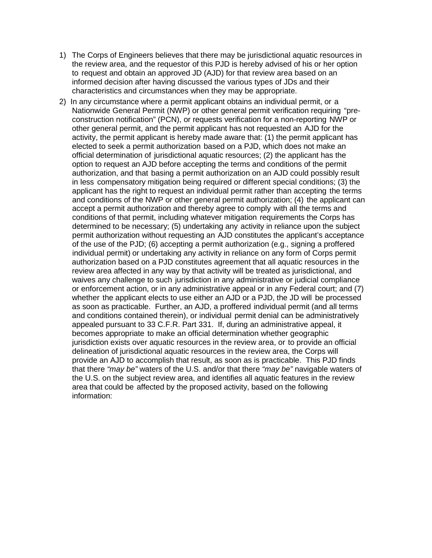- 1) The Corps of Engineers believes that there may be jurisdictional aquatic resources in the review area, and the requestor of this PJD is hereby advised of his or her option to request and obtain an approved JD (AJD) for that review area based on an informed decision after having discussed the various types of JDs and their characteristics and circumstances when they may be appropriate.
- 2) In any circumstance where a permit applicant obtains an individual permit, or a Nationwide General Permit (NWP) or other general permit verification requiring "preconstruction notification" (PCN), or requests verification for a non-reporting NWP or other general permit, and the permit applicant has not requested an AJD for the activity, the permit applicant is hereby made aware that: (1) the permit applicant has elected to seek a permit authorization based on a PJD, which does not make an official determination of jurisdictional aquatic resources; (2) the applicant has the option to request an AJD before accepting the terms and conditions of the permit authorization, and that basing a permit authorization on an AJD could possibly result in less compensatory mitigation being required or different special conditions; (3) the applicant has the right to request an individual permit rather than accepting the terms and conditions of the NWP or other general permit authorization; (4) the applicant can accept a permit authorization and thereby agree to comply with all the terms and conditions of that permit, including whatever mitigation requirements the Corps has determined to be necessary; (5) undertaking any activity in reliance upon the subject permit authorization without requesting an AJD constitutes the applicant's acceptance of the use of the PJD; (6) accepting a permit authorization (e.g., signing a proffered individual permit) or undertaking any activity in reliance on any form of Corps permit authorization based on a PJD constitutes agreement that all aquatic resources in the review area affected in any way by that activity will be treated as jurisdictional, and waives any challenge to such jurisdiction in any administrative or judicial compliance or enforcement action, or in any administrative appeal or in any Federal court; and (7) whether the applicant elects to use either an AJD or a PJD, the JD will be processed as soon as practicable. Further, an AJD, a proffered individual permit (and all terms and conditions contained therein), or individual permit denial can be administratively appealed pursuant to 33 C.F.R. Part 331. If, during an administrative appeal, it becomes appropriate to make an official determination whether geographic jurisdiction exists over aquatic resources in the review area, or to provide an official delineation of jurisdictional aquatic resources in the review area, the Corps will provide an AJD to accomplish that result, as soon as is practicable. This PJD finds that there *"may be"* waters of the U.S. and/or that there *"may be"* navigable waters of the U.S. on the subject review area, and identifies all aquatic features in the review area that could be affected by the proposed activity, based on the following information: